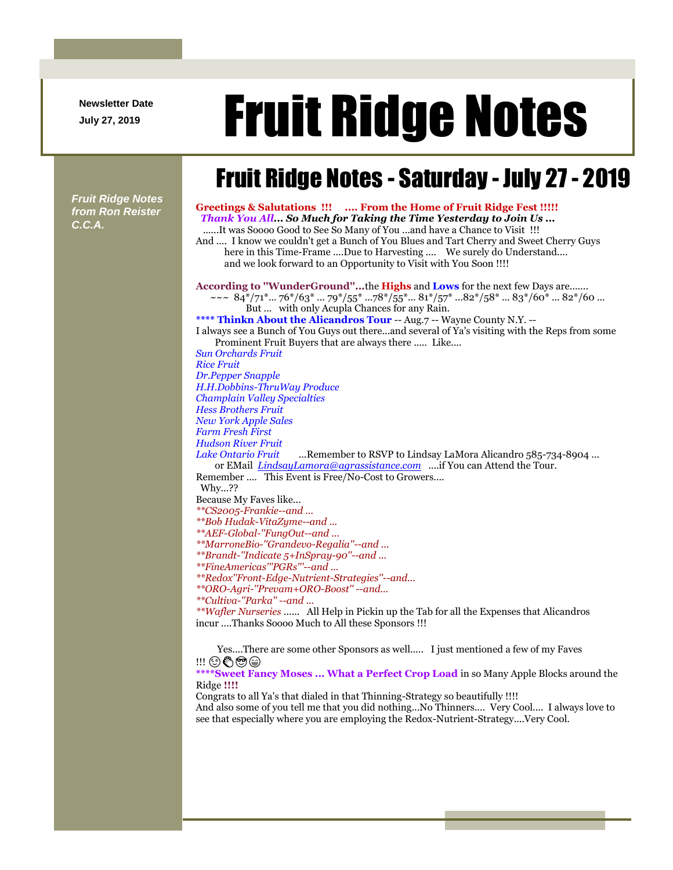**Newsletter Date**

## Newsletter Date **Fruit Ridge Notes**

## Fruit Ridge Notes - Saturday - July 27 - 2019

*Fruit Ridge Notes from Ron Reister C.C.A.*

**Greetings & Salutations !!! .... From the Home of Fruit Ridge Fest !!!!!** *Thank You All... So Much for Taking the Time Yesterday to Join Us ...* ......It was Soooo Good to See So Many of You ...and have a Chance to Visit !!! And .... I know we couldn't get a Bunch of You Blues and Tart Cherry and Sweet Cherry Guys here in this Time-Frame ....Due to Harvesting .... We surely do Understand.... and we look forward to an Opportunity to Visit with You Soon !!!! **According to ''WunderGround''...**the **Highs** and **Lows** for the next few Days are.......  $\sim \sim 84^*/71^*...76^*/63^*...79^*/55^*...78^*/55^*...81^*/57^*...82^*/58^*...83^*/60^*...82^*/60...$ But ... with only Acupla Chances for any Rain. **\*\*\*\* Thinkn About the Alicandros Tour** -- Aug.7 -- Wayne County N.Y. -- I always see a Bunch of You Guys out there...and several of Ya's visiting with the Reps from some Prominent Fruit Buyers that are always there ..... Like.... *Sun Orchards Fruit Rice Fruit Dr.Pepper Snapple H.H.Dobbins-ThruWay Produce Champlain Valley Specialties Hess Brothers Fruit New York Apple Sales Farm Fresh First Hudson River Fruit Lake Ontario Fruit* ...Remember to RSVP to Lindsay LaMora Alicandro 585-734-8904 ... or EMail *[LindsayLamora@agrassistance.com](mailto:LindsayLamora@agrassistance.com)* ....if You can Attend the Tour. Remember .... This Event is Free/No-Cost to Growers.... Why...?? Because My Faves like... *\*\*CS2005-Frankie--and ... \*\*Bob Hudak-VitaZyme--and ... \*\*AEF-Global-''FungOut--and ... \*\*MarroneBio-''Grandevo-Regalia''--and ... \*\*Brandt-''Indicate 5+InSpray-90''--and ... \*\*FineAmericas'''PGRs'''--and ... \*\*Redox''Front-Edge-Nutrient-Strategies''--and... \*\*ORO-Agri-''Prevam+ORO-Boost'' --and... \*\*Cultiva-''Parka'' --and ... \*\*Wafler Nurseries* ...... All Help in Pickin up the Tab for all the Expenses that Alicandros incur ....Thanks Soooo Much to All these Sponsors !!! Yes....There are some other Sponsors as well..... I just mentioned a few of my Faves !!! © & @ @ **\*\*\*\*Sweet Fancy Moses ... What a Perfect Crop Load** in so Many Apple Blocks around the Ridge **!!!!** Congrats to all Ya's that dialed in that Thinning-Strategy so beautifully !!!! And also some of you tell me that you did nothing...No Thinners.... Very Cool.... I always love to

see that especially where you are employing the Redox-Nutrient-Strategy....Very Cool.